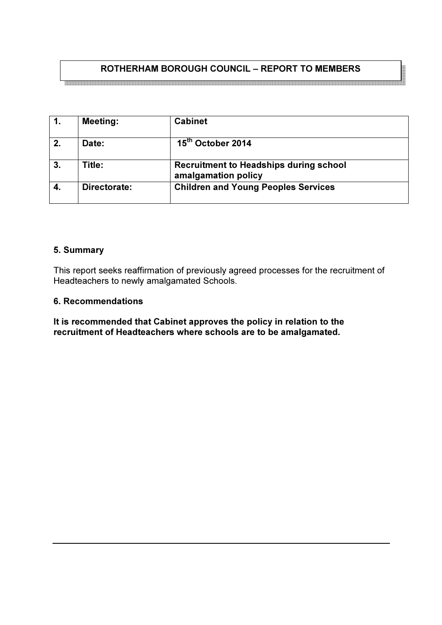# ROTHERHAM BOROUGH COUNCIL – REPORT TO MEMBERS

|    | <b>Meeting:</b> | <b>Cabinet</b>                                                       |
|----|-----------------|----------------------------------------------------------------------|
| 2. | Date:           | 15 <sup>th</sup> October 2014                                        |
| 3. | Title:          | <b>Recruitment to Headships during school</b><br>amalgamation policy |
|    | Directorate:    | <b>Children and Young Peoples Services</b>                           |

### 5. Summary

This report seeks reaffirmation of previously agreed processes for the recruitment of Headteachers to newly amalgamated Schools.

#### 6. Recommendations

It is recommended that Cabinet approves the policy in relation to the recruitment of Headteachers where schools are to be amalgamated.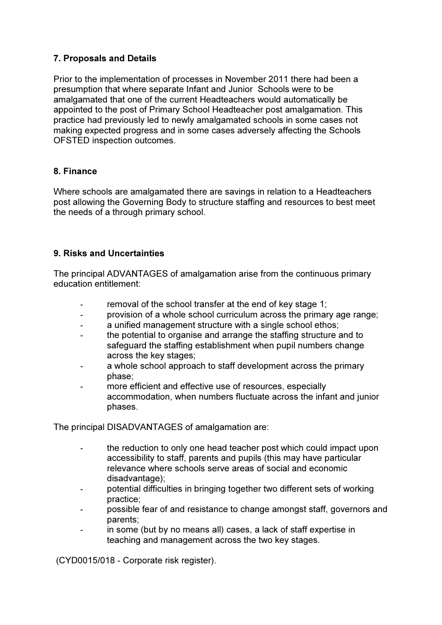## 7. Proposals and Details

Prior to the implementation of processes in November 2011 there had been a presumption that where separate Infant and Junior Schools were to be amalgamated that one of the current Headteachers would automatically be appointed to the post of Primary School Headteacher post amalgamation. This practice had previously led to newly amalgamated schools in some cases not making expected progress and in some cases adversely affecting the Schools OFSTED inspection outcomes.

## 8. Finance

Where schools are amalgamated there are savings in relation to a Headteachers post allowing the Governing Body to structure staffing and resources to best meet the needs of a through primary school.

## 9. Risks and Uncertainties

The principal ADVANTAGES of amalgamation arise from the continuous primary education entitlement:

- removal of the school transfer at the end of key stage 1;
- provision of a whole school curriculum across the primary age range;
- a unified management structure with a single school ethos:
- the potential to organise and arrange the staffing structure and to safeguard the staffing establishment when pupil numbers change across the key stages;
- a whole school approach to staff development across the primary phase;
- more efficient and effective use of resources, especially accommodation, when numbers fluctuate across the infant and junior phases.

The principal DISADVANTAGES of amalgamation are:

- the reduction to only one head teacher post which could impact upon accessibility to staff, parents and pupils (this may have particular relevance where schools serve areas of social and economic disadvantage);
- potential difficulties in bringing together two different sets of working practice;
- possible fear of and resistance to change amongst staff, governors and parents;
- in some (but by no means all) cases, a lack of staff expertise in teaching and management across the two key stages.

(CYD0015/018 - Corporate risk register).